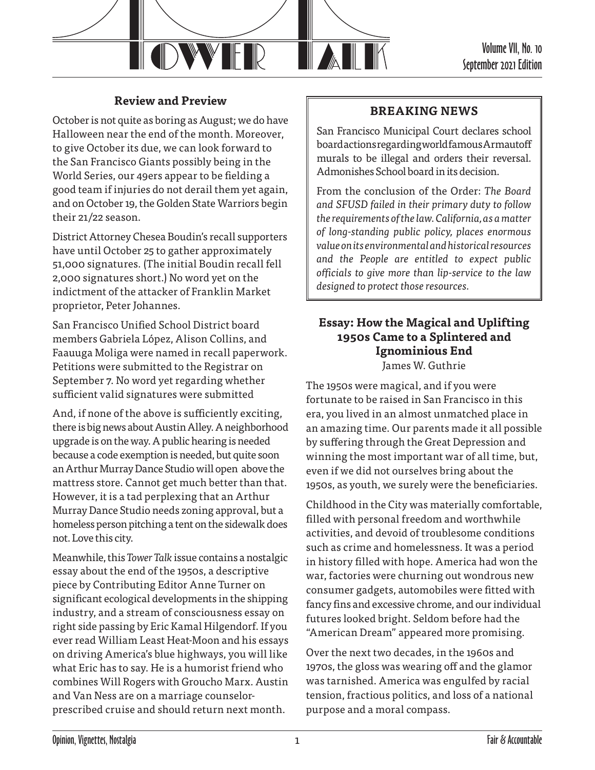

Volume VII, No. 10 September 2021 Edition

## **Review and Preview**

October is not quite as boring as August; we do have Halloween near the end of the month. Moreover, to give October its due, we can look forward to the San Francisco Giants possibly being in the World Series, our 49ers appear to be fielding a good team if injuries do not derail them yet again, and on October 19, the Golden State Warriors begin their 21/22 season.

District Attorney Chesea Boudin's recall supporters have until October 25 to gather approximately 51,000 signatures. (The initial Boudin recall fell 2,000 signatures short.) No word yet on the indictment of the attacker of Franklin Market proprietor, Peter Johannes.

San Francisco Unified School District board members Gabriela López, Alison Collins, and Faauuga Moliga were named in recall paperwork. Petitions were submitted to the Registrar on September 7. No word yet regarding whether sufficient valid signatures were submitted

And, if none of the above is sufficiently exciting, there is big news about Austin Alley. A neighborhood upgrade is on the way. A public hearing is needed because a code exemption is needed, but quite soon an Arthur Murray Dance Studio will open above the mattress store. Cannot get much better than that. However, it is a tad perplexing that an Arthur Murray Dance Studio needs zoning approval, but a homeless person pitching a tent on the sidewalk does not. Love this city.

Meanwhile, this *Tower Talk* issue contains a nostalgic essay about the end of the 1950s, a descriptive piece by Contributing Editor Anne Turner on significant ecological developments in the shipping industry, and a stream of consciousness essay on right side passing by Eric Kamal Hilgendorf. If you ever read William Least Heat-Moon and his essays on driving America's blue highways, you will like what Eric has to say. He is a humorist friend who combines Will Rogers with Groucho Marx. Austin and Van Ness are on a marriage counselorprescribed cruise and should return next month.

### **BREAKING NEWS**

San Francisco Municipal Court declares school board actions regarding world famous Armautoff murals to be illegal and orders their reversal. Admonishes School board in its decision.

From the conclusion of the Order: *The Board and SFUSD failed in their primary duty to follow the requirements of the law. California, as a matter of long-standing public policy, places enormous value on its environmental and historical resources and the People are entitled to expect public officials to give more than lip-service to the law designed to protect those resources.*

# **Essay: How the Magical and Uplifting 1950s Came to a Splintered and Ignominious End**

James W. Guthrie

The 1950s were magical, and if you were fortunate to be raised in San Francisco in this era, you lived in an almost unmatched place in an amazing time. Our parents made it all possible by suffering through the Great Depression and winning the most important war of all time, but, even if we did not ourselves bring about the 1950s, as youth, we surely were the beneficiaries.

Childhood in the City was materially comfortable, filled with personal freedom and worthwhile activities, and devoid of troublesome conditions such as crime and homelessness. It was a period in history filled with hope. America had won the war, factories were churning out wondrous new consumer gadgets, automobiles were fitted with fancy fins and excessive chrome, and our individual futures looked bright. Seldom before had the "American Dream" appeared more promising.

Over the next two decades, in the 1960s and 1970s, the gloss was wearing off and the glamor was tarnished. America was engulfed by racial tension, fractious politics, and loss of a national purpose and a moral compass.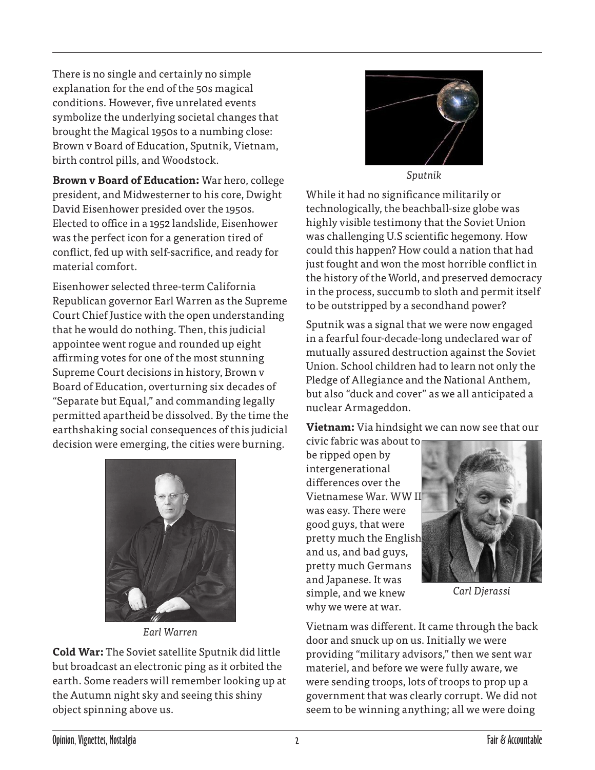There is no single and certainly no simple explanation for the end of the 50s magical conditions. However, five unrelated events symbolize the underlying societal changes that brought the Magical 1950s to a numbing close: Brown v Board of Education, Sputnik, Vietnam, birth control pills, and Woodstock.

**Brown v Board of Education:** War hero, college president, and Midwesterner to his core, Dwight David Eisenhower presided over the 1950s. Elected to office in a 1952 landslide, Eisenhower was the perfect icon for a generation tired of conflict, fed up with self-sacrifice, and ready for material comfort.

Eisenhower selected three-term California Republican governor Earl Warren as the Supreme Court Chief Justice with the open understanding that he would do nothing. Then, this judicial appointee went rogue and rounded up eight affirming votes for one of the most stunning Supreme Court decisions in history, Brown v Board of Education, overturning six decades of "Separate but Equal," and commanding legally permitted apartheid be dissolved. By the time the earthshaking social consequences of this judicial decision were emerging, the cities were burning.



*Earl Warren*

**Cold War:** The Soviet satellite Sputnik did little but broadcast an electronic ping as it orbited the earth. Some readers will remember looking up at the Autumn night sky and seeing this shiny object spinning above us.



*Sputnik*

While it had no significance militarily or technologically, the beachball-size globe was highly visible testimony that the Soviet Union was challenging U.S scientific hegemony. How could this happen? How could a nation that had just fought and won the most horrible conflict in the history of the World, and preserved democracy in the process, succumb to sloth and permit itself to be outstripped by a secondhand power?

Sputnik was a signal that we were now engaged in a fearful four-decade-long undeclared war of mutually assured destruction against the Soviet Union. School children had to learn not only the Pledge of Allegiance and the National Anthem, but also "duck and cover" as we all anticipated a nuclear Armageddon.

**Vietnam:** Via hindsight we can now see that our

civic fabric was about to be ripped open by intergenerational differences over the Vietnamese War. WW II was easy. There were good guys, that were pretty much the English and us, and bad guys, pretty much Germans and Japanese. It was simple, and we knew why we were at war.



*Carl Djerassi*

Vietnam was different. It came through the back door and snuck up on us. Initially we were providing "military advisors," then we sent war materiel, and before we were fully aware, we were sending troops, lots of troops to prop up a government that was clearly corrupt. We did not seem to be winning anything; all we were doing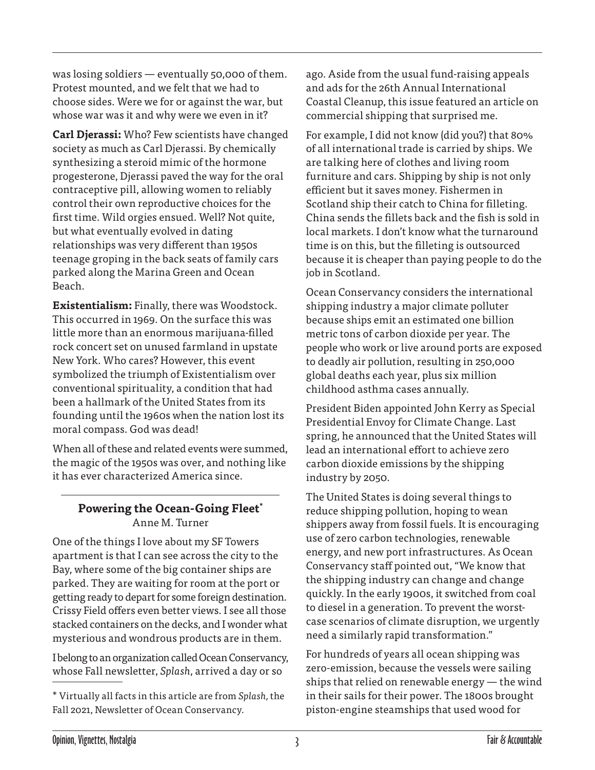was losing soldiers — eventually 50,000 of them. Protest mounted, and we felt that we had to choose sides. Were we for or against the war, but whose war was it and why were we even in it?

**Carl Djerassi:** Who? Few scientists have changed society as much as Carl Djerassi. By chemically synthesizing a steroid mimic of the hormone progesterone, Djerassi paved the way for the oral contraceptive pill, allowing women to reliably control their own reproductive choices for the first time. Wild orgies ensued. Well? Not quite, but what eventually evolved in dating relationships was very different than 1950s teenage groping in the back seats of family cars parked along the Marina Green and Ocean Beach.

**Existentialism:** Finally, there was Woodstock. This occurred in 1969. On the surface this was little more than an enormous marijuana-filled rock concert set on unused farmland in upstate New York. Who cares? However, this event symbolized the triumph of Existentialism over conventional spirituality, a condition that had been a hallmark of the United States from its founding until the 1960s when the nation lost its moral compass. God was dead!

When all of these and related events were summed, the magic of the 1950s was over, and nothing like it has ever characterized America since.

### **Powering the Ocean-Going Fleet\*** Anne M. Turner

One of the things I love about my SF Towers apartment is that I can see across the city to the Bay, where some of the big container ships are parked. They are waiting for room at the port or getting ready to depart for some foreign destination. Crissy Field offers even better views. I see all those stacked containers on the decks, and I wonder what mysterious and wondrous products are in them.

I belong to an organization called Ocean Conservancy, whose Fall newsletter, *Splash*, arrived a day or so

ago. Aside from the usual fund-raising appeals and ads for the 26th Annual International Coastal Cleanup, this issue featured an article on commercial shipping that surprised me.

For example, I did not know (did you?) that 80% of all international trade is carried by ships. We are talking here of clothes and living room furniture and cars. Shipping by ship is not only efficient but it saves money. Fishermen in Scotland ship their catch to China for filleting. China sends the fillets back and the fish is sold in local markets. I don't know what the turnaround time is on this, but the filleting is outsourced because it is cheaper than paying people to do the job in Scotland.

Ocean Conservancy considers the international shipping industry a major climate polluter because ships emit an estimated one billion metric tons of carbon dioxide per year. The people who work or live around ports are exposed to deadly air pollution, resulting in 250,000 global deaths each year, plus six million childhood asthma cases annually.

President Biden appointed John Kerry as Special Presidential Envoy for Climate Change. Last spring, he announced that the United States will lead an international effort to achieve zero carbon dioxide emissions by the shipping industry by 2050.

The United States is doing several things to reduce shipping pollution, hoping to wean shippers away from fossil fuels. It is encouraging use of zero carbon technologies, renewable energy, and new port infrastructures. As Ocean Conservancy staff pointed out, "We know that the shipping industry can change and change quickly. In the early 1900s, it switched from coal to diesel in a generation. To prevent the worstcase scenarios of climate disruption, we urgently need a similarly rapid transformation."

For hundreds of years all ocean shipping was zero-emission, because the vessels were sailing ships that relied on renewable energy — the wind in their sails for their power. The 1800s brought piston-engine steamships that used wood for

<sup>\*</sup> Virtually all facts in this article are from *Splash,* the Fall 2021, Newsletter of Ocean Conservancy.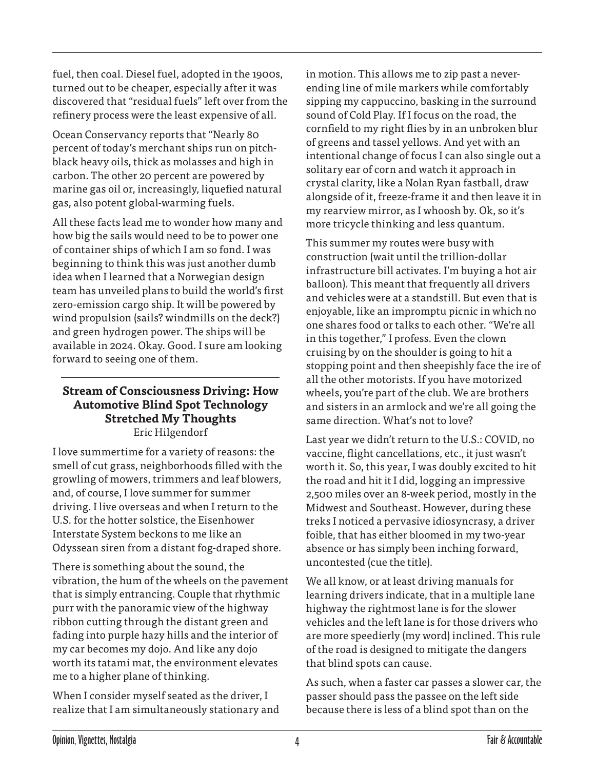fuel, then coal. Diesel fuel, adopted in the 1900s, turned out to be cheaper, especially after it was discovered that "residual fuels" left over from the refinery process were the least expensive of all.

Ocean Conservancy reports that "Nearly 80 percent of today's merchant ships run on pitchblack heavy oils, thick as molasses and high in carbon. The other 20 percent are powered by marine gas oil or, increasingly, liquefied natural gas, also potent global-warming fuels.

All these facts lead me to wonder how many and how big the sails would need to be to power one of container ships of which I am so fond. I was beginning to think this was just another dumb idea when I learned that a Norwegian design team has unveiled plans to build the world's first zero-emission cargo ship. It will be powered by wind propulsion (sails? windmills on the deck?) and green hydrogen power. The ships will be available in 2024. Okay. Good. I sure am looking forward to seeing one of them.

#### **Stream of Consciousness Driving: How Automotive Blind Spot Technology Stretched My Thoughts** Eric Hilgendorf

I love summertime for a variety of reasons: the smell of cut grass, neighborhoods filled with the growling of mowers, trimmers and leaf blowers, and, of course, I love summer for summer driving. I live overseas and when I return to the U.S. for the hotter solstice, the Eisenhower Interstate System beckons to me like an Odyssean siren from a distant fog-draped shore.

There is something about the sound, the vibration, the hum of the wheels on the pavement that is simply entrancing. Couple that rhythmic purr with the panoramic view of the highway ribbon cutting through the distant green and fading into purple hazy hills and the interior of my car becomes my dojo. And like any dojo worth its tatami mat, the environment elevates me to a higher plane of thinking.

When I consider myself seated as the driver, I realize that I am simultaneously stationary and in motion. This allows me to zip past a neverending line of mile markers while comfortably sipping my cappuccino, basking in the surround sound of Cold Play. If I focus on the road, the cornfield to my right flies by in an unbroken blur of greens and tassel yellows. And yet with an intentional change of focus I can also single out a solitary ear of corn and watch it approach in crystal clarity, like a Nolan Ryan fastball, draw alongside of it, freeze-frame it and then leave it in my rearview mirror, as I whoosh by. Ok, so it's more tricycle thinking and less quantum.

This summer my routes were busy with construction (wait until the trillion-dollar infrastructure bill activates. I'm buying a hot air balloon). This meant that frequently all drivers and vehicles were at a standstill. But even that is enjoyable, like an impromptu picnic in which no one shares food or talks to each other. "We're all in this together," I profess. Even the clown cruising by on the shoulder is going to hit a stopping point and then sheepishly face the ire of all the other motorists. If you have motorized wheels, you're part of the club. We are brothers and sisters in an armlock and we're all going the same direction. What's not to love?

Last year we didn't return to the U.S.: COVID, no vaccine, flight cancellations, etc., it just wasn't worth it. So, this year, I was doubly excited to hit the road and hit it I did, logging an impressive 2,500 miles over an 8-week period, mostly in the Midwest and Southeast. However, during these treks I noticed a pervasive idiosyncrasy, a driver foible, that has either bloomed in my two-year absence or has simply been inching forward, uncontested (cue the title).

We all know, or at least driving manuals for learning drivers indicate, that in a multiple lane highway the rightmost lane is for the slower vehicles and the left lane is for those drivers who are more speedierly (my word) inclined. This rule of the road is designed to mitigate the dangers that blind spots can cause.

As such, when a faster car passes a slower car, the passer should pass the passee on the left side because there is less of a blind spot than on the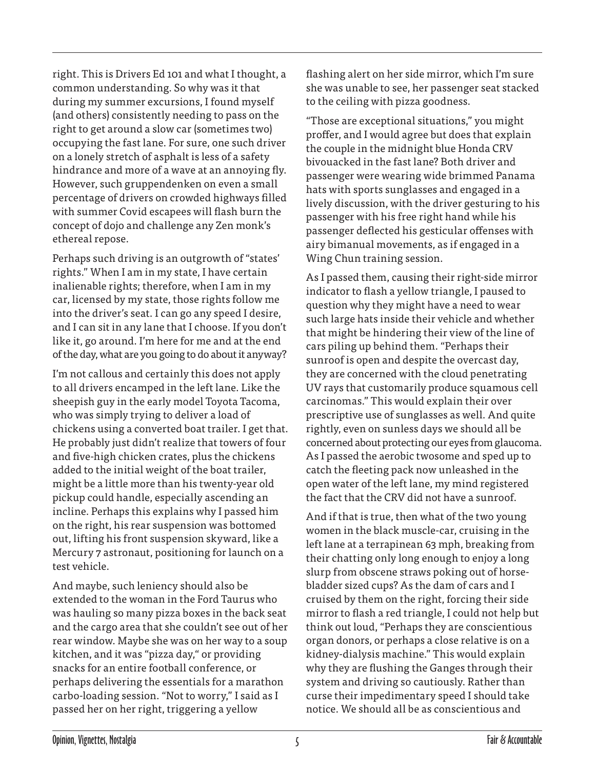right. This is Drivers Ed 101 and what I thought, a common understanding. So why was it that during my summer excursions, I found myself (and others) consistently needing to pass on the right to get around a slow car (sometimes two) occupying the fast lane. For sure, one such driver on a lonely stretch of asphalt is less of a safety hindrance and more of a wave at an annoying fly. However, such gruppendenken on even a small percentage of drivers on crowded highways filled with summer Covid escapees will flash burn the concept of dojo and challenge any Zen monk's ethereal repose.

Perhaps such driving is an outgrowth of "states' rights." When I am in my state, I have certain inalienable rights; therefore, when I am in my car, licensed by my state, those rights follow me into the driver's seat. I can go any speed I desire, and I can sit in any lane that I choose. If you don't like it, go around. I'm here for me and at the end of the day, what are you going to do about it anyway?

I'm not callous and certainly this does not apply to all drivers encamped in the left lane. Like the sheepish guy in the early model Toyota Tacoma, who was simply trying to deliver a load of chickens using a converted boat trailer. I get that. He probably just didn't realize that towers of four and five-high chicken crates, plus the chickens added to the initial weight of the boat trailer, might be a little more than his twenty-year old pickup could handle, especially ascending an incline. Perhaps this explains why I passed him on the right, his rear suspension was bottomed out, lifting his front suspension skyward, like a Mercury 7 astronaut, positioning for launch on a test vehicle.

And maybe, such leniency should also be extended to the woman in the Ford Taurus who was hauling so many pizza boxes in the back seat and the cargo area that she couldn't see out of her rear window. Maybe she was on her way to a soup kitchen, and it was "pizza day," or providing snacks for an entire football conference, or perhaps delivering the essentials for a marathon carbo-loading session. "Not to worry," I said as I passed her on her right, triggering a yellow

flashing alert on her side mirror, which I'm sure she was unable to see, her passenger seat stacked to the ceiling with pizza goodness.

"Those are exceptional situations," you might proffer, and I would agree but does that explain the couple in the midnight blue Honda CRV bivouacked in the fast lane? Both driver and passenger were wearing wide brimmed Panama hats with sports sunglasses and engaged in a lively discussion, with the driver gesturing to his passenger with his free right hand while his passenger deflected his gesticular offenses with airy bimanual movements, as if engaged in a Wing Chun training session.

As I passed them, causing their right-side mirror indicator to flash a yellow triangle, I paused to question why they might have a need to wear such large hats inside their vehicle and whether that might be hindering their view of the line of cars piling up behind them. "Perhaps their sunroof is open and despite the overcast day, they are concerned with the cloud penetrating UV rays that customarily produce squamous cell carcinomas." This would explain their over prescriptive use of sunglasses as well. And quite rightly, even on sunless days we should all be concerned about protecting our eyes from glaucoma. As I passed the aerobic twosome and sped up to catch the fleeting pack now unleashed in the open water of the left lane, my mind registered the fact that the CRV did not have a sunroof.

And if that is true, then what of the two young women in the black muscle-car, cruising in the left lane at a terrapinean 63 mph, breaking from their chatting only long enough to enjoy a long slurp from obscene straws poking out of horsebladder sized cups? As the dam of cars and I cruised by them on the right, forcing their side mirror to flash a red triangle, I could not help but think out loud, "Perhaps they are conscientious organ donors, or perhaps a close relative is on a kidney-dialysis machine." This would explain why they are flushing the Ganges through their system and driving so cautiously. Rather than curse their impedimentary speed I should take notice. We should all be as conscientious and